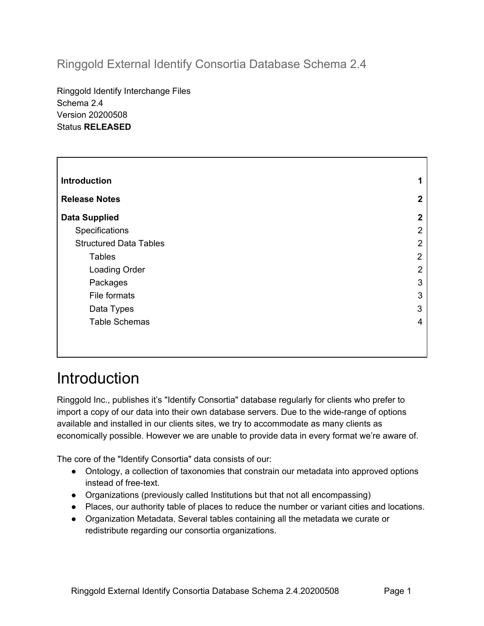## Ringgold External Identify Consortia Database Schema 2.4

Ringgold Identify Interchange Files Schema 2.4 Version 20200508 Status **RELEASED**

| <b>Introduction</b>           | 1                |
|-------------------------------|------------------|
| <b>Release Notes</b>          | $\boldsymbol{2}$ |
| <b>Data Supplied</b>          | $\boldsymbol{2}$ |
| Specifications                | 2                |
| <b>Structured Data Tables</b> | $\overline{2}$   |
| <b>Tables</b>                 | 2                |
| <b>Loading Order</b>          | $\overline{2}$   |
| Packages                      | 3                |
| File formats                  | 3                |
| Data Types                    | 3                |
| <b>Table Schemas</b>          | 4                |
|                               |                  |

## <span id="page-0-0"></span>**Introduction**

Ringgold Inc., publishes it's "Identify Consortia" database regularly for clients who prefer to import a copy of our data into their own database servers. Due to the wide-range of options available and installed in our clients sites, we try to accommodate as many clients as economically possible. However we are unable to provide data in every format we're aware of.

The core of the "Identify Consortia" data consists of our:

- Ontology, a collection of taxonomies that constrain our metadata into approved options instead of free-text.
- Organizations (previously called Institutions but that not all encompassing)
- Places, our authority table of places to reduce the number or variant cities and locations.
- Organization Metadata. Several tables containing all the metadata we curate or redistribute regarding our consortia organizations.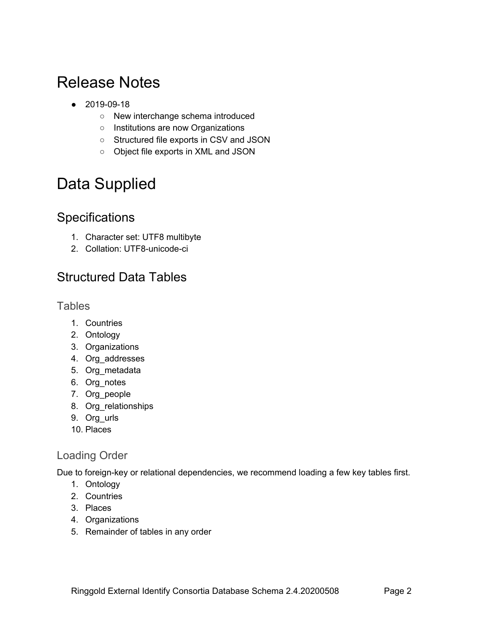## <span id="page-1-0"></span>Release Notes

- 2019-09-18
	- New interchange schema introduced
	- Institutions are now Organizations
	- Structured file exports in CSV and JSON
	- Object file exports in XML and JSON

# <span id="page-1-1"></span>Data Supplied

## <span id="page-1-2"></span>**Specifications**

- 1. Character set: UTF8 multibyte
- 2. Collation: UTF8-unicode-ci

## <span id="page-1-3"></span>Structured Data Tables

#### <span id="page-1-4"></span>**Tables**

- 1. Countries
- 2. Ontology
- 3. Organizations
- 4. Org\_addresses
- 5. Org\_metadata
- 6. Org\_notes
- 7. Org\_people
- 8. Org\_relationships
- 9. Org\_urls
- 10. Places

#### <span id="page-1-5"></span>Loading Order

Due to foreign-key or relational dependencies, we recommend loading a few key tables first.

- 1. Ontology
- 2. Countries
- 3. Places
- 4. Organizations
- 5. Remainder of tables in any order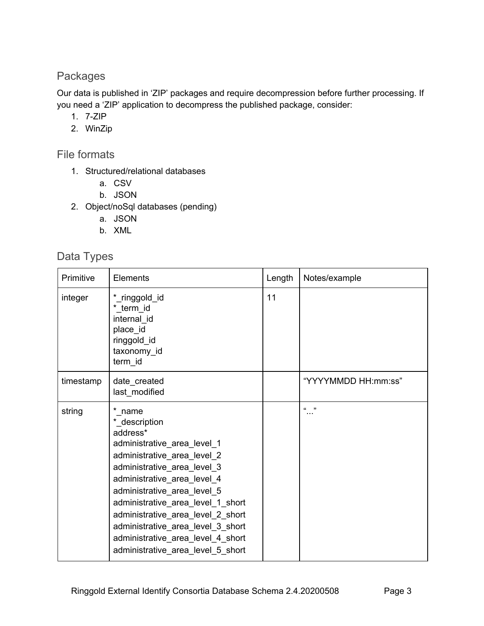#### <span id="page-2-0"></span>Packages

Our data is published in 'ZIP' packages and require decompression before further processing. If you need a 'ZIP' application to decompress the published package, consider:

- 1. 7-ZIP
- 2. WinZip

<span id="page-2-1"></span>File formats

- 1. Structured/relational databases
	- a. CSV
	- b. JSON
- 2. Object/noSql databases (pending)
	- a. JSON
	- b. XML

#### <span id="page-2-2"></span>Data Types

| Primitive | Elements                                                                                                                                                                                                                                                                                                                                                                                | Length | Notes/example       |
|-----------|-----------------------------------------------------------------------------------------------------------------------------------------------------------------------------------------------------------------------------------------------------------------------------------------------------------------------------------------------------------------------------------------|--------|---------------------|
| integer   | *_ringgold_id<br>* term id<br>internal id<br>place id<br>ringgold_id<br>taxonomy_id<br>term id                                                                                                                                                                                                                                                                                          | 11     |                     |
| timestamp | date_created<br>last_modified                                                                                                                                                                                                                                                                                                                                                           |        | "YYYYMMDD HH:mm:ss" |
| string    | *_name<br>*_description<br>address*<br>administrative_area_level_1<br>administrative_area_level_2<br>administrative_area_level_3<br>administrative_area_level_4<br>administrative_area_level_5<br>administrative_area_level_1_short<br>administrative_area_level_2_short<br>administrative_area_level_3_short<br>administrative_area_level_4_short<br>administrative area level 5 short |        | 66 99               |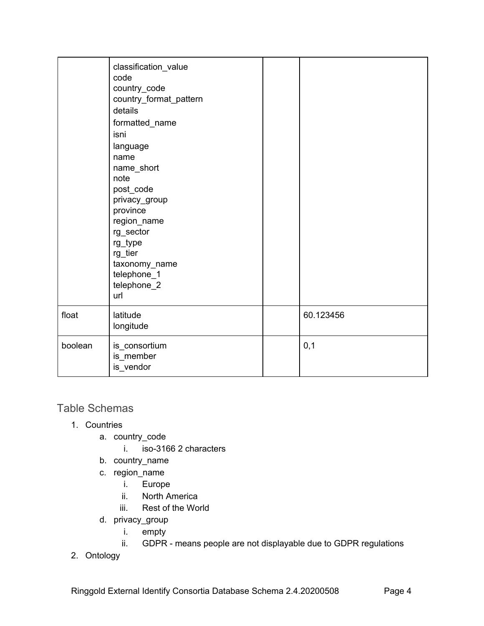|         | classification_value<br>code<br>country_code<br>country_format_pattern<br>details<br>formatted_name<br>isni<br>language<br>name<br>name_short<br>note<br>post_code<br>privacy_group<br>province<br>region_name<br>rg_sector<br>rg_type<br>rg_tier<br>taxonomy_name<br>telephone_1<br>telephone_2<br>url |           |
|---------|---------------------------------------------------------------------------------------------------------------------------------------------------------------------------------------------------------------------------------------------------------------------------------------------------------|-----------|
| float   | latitude<br>longitude                                                                                                                                                                                                                                                                                   | 60.123456 |
| boolean | is_consortium<br>is_member<br>is_vendor                                                                                                                                                                                                                                                                 | 0,1       |

### <span id="page-3-0"></span>Table Schemas

- 1. Countries
	- a. country\_code
		- i. iso-3166 2 characters
	- b. country\_name
	- c. region\_name
		- i. Europe
		- ii. North America
		- iii. Rest of the World
	- d. privacy\_group
		- i. empty
		- ii. GDPR means people are not displayable due to GDPR regulations
- 2. Ontology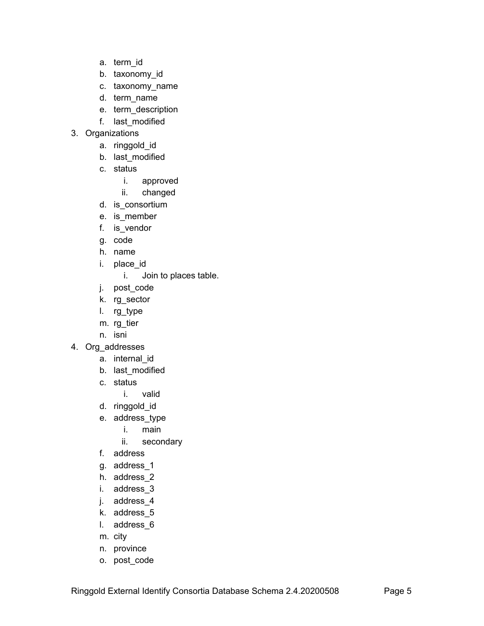- a. term\_id
- b. taxonomy\_id
- c. taxonomy\_name
- d. term\_name
- e. term\_description
- f. last\_modified
- 3. Organizations
	- a. ringgold\_id
	- b. last\_modified
	- c. status
		- i. approved
		- ii. changed
	- d. is\_consortium
	- e. is\_member
	- f. is\_vendor
	- g. code
	- h. name
	- i. place\_id
		- i. Join to places table.
	- j. post\_code
	- k. rg\_sector
	- l. rg\_type
	- m. rg\_tier
	- n. isni
- 4. Org\_addresses
	- a. internal\_id
	- b. last\_modified
	- c. status
		- i. valid
	- d. ringgold\_id
	- e. address\_type
		- i. main
		- ii. secondary
	- f. address
	- g. address\_1
	- h. address\_2
	- i. address\_3
	- j. address\_4
	- k. address\_5
	- l. address\_6
	- m. city
	- n. province
	- o. post\_code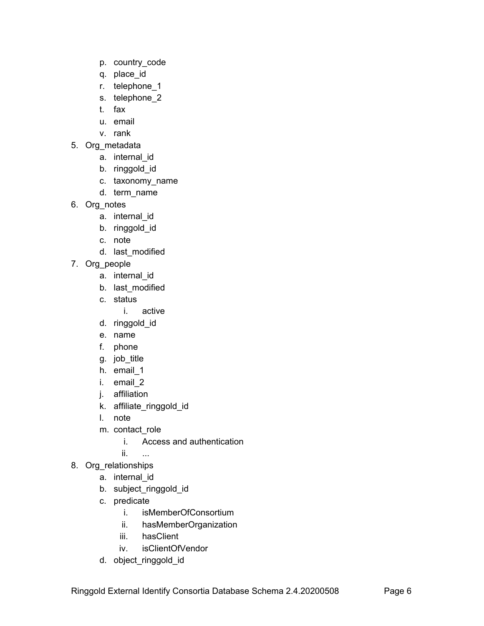- p. country\_code
- q. place\_id
- r. telephone\_1
- s. telephone\_2
- t. fax
- u. email
- v. rank
- 5. Org\_metadata
	- a. internal\_id
	- b. ringgold\_id
	- c. taxonomy\_name
	- d. term\_name
- 6. Org\_notes
	- a. internal\_id
	- b. ringgold\_id
	- c. note
	- d. last\_modified
- 7. Org\_people
	- a. internal\_id
	- b. last\_modified
	- c. status
		- i. active
	- d. ringgold\_id
	- e. name
	- f. phone
	- g. job\_title
	- h. email\_1
	- i. email\_2
	- j. affiliation
	- k. affiliate\_ringgold\_id
	- l. note
	- m. contact\_role
		- i. Access and authentication
		- ii. ...
- 8. Org\_relationships
	- a. internal\_id
	- b. subject\_ringgold\_id
	- c. predicate
		- i. isMemberOfConsortium
		- ii. hasMemberOrganization
		- iii. hasClient
		- iv. isClientOfVendor
	- d. object\_ringgold\_id